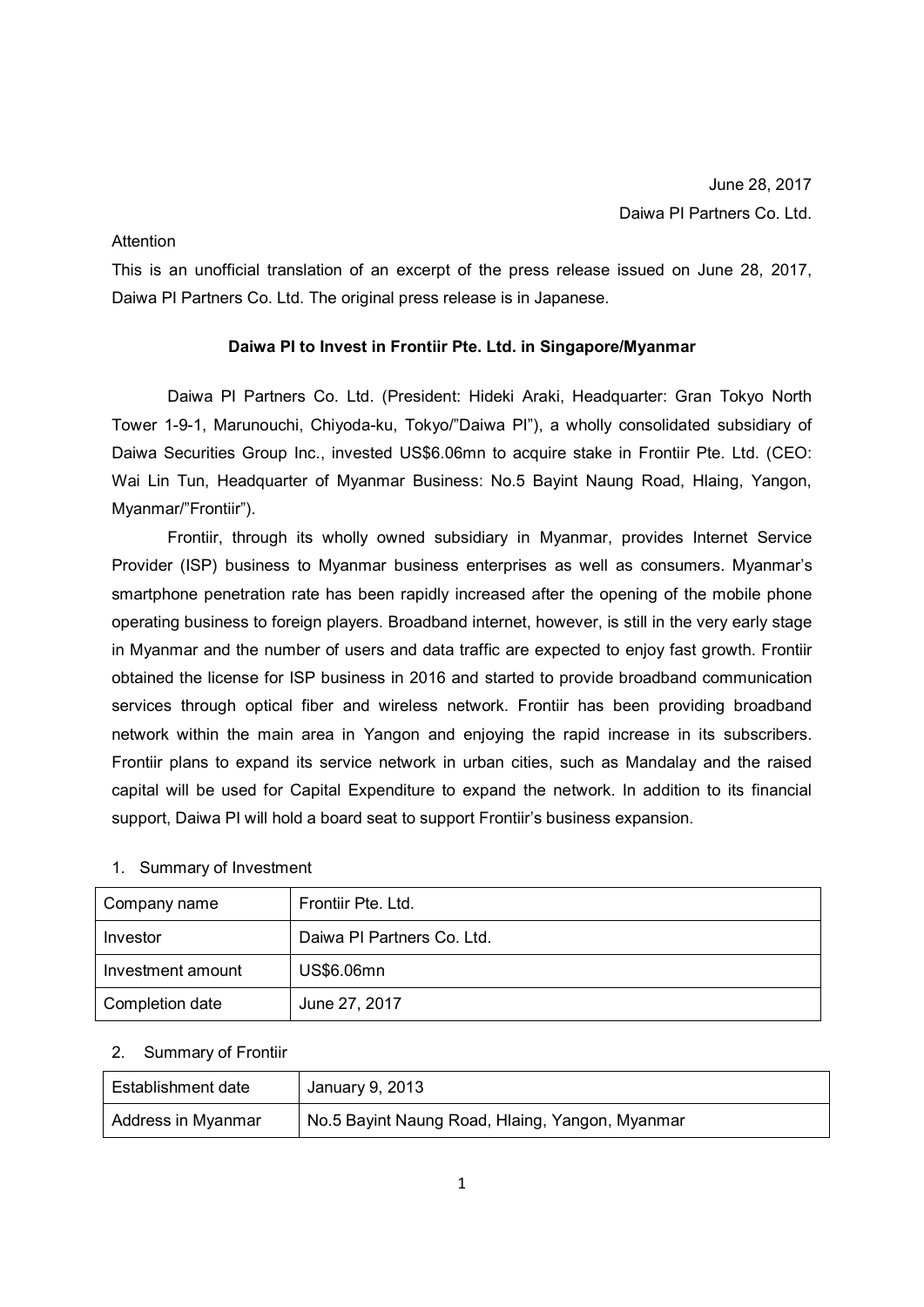## **Attention**

This is an unofficial translation of an excerpt of the press release issued on June 28, 2017, Daiwa PI Partners Co. Ltd. The original press release is in Japanese.

## **Daiwa PI to Invest in Frontiir Pte. Ltd. in Singapore/Myanmar**

Daiwa PI Partners Co. Ltd. (President: Hideki Araki, Headquarter: Gran Tokyo North Tower 1-9-1, Marunouchi, Chiyoda-ku, Tokyo/"Daiwa PI"), a wholly consolidated subsidiary of Daiwa Securities Group Inc., invested US\$6.06mn to acquire stake in Frontiir Pte. Ltd. (CEO: Wai Lin Tun, Headquarter of Myanmar Business: No.5 Bayint Naung Road, Hlaing, Yangon, Myanmar/"Frontiir").

Frontiir, through its wholly owned subsidiary in Myanmar, provides Internet Service Provider (ISP) business to Myanmar business enterprises as well as consumers. Myanmar's smartphone penetration rate has been rapidly increased after the opening of the mobile phone operating business to foreign players. Broadband internet, however, is still in the very early stage in Myanmar and the number of users and data traffic are expected to enjoy fast growth. Frontiir obtained the license for ISP business in 2016 and started to provide broadband communication services through optical fiber and wireless network. Frontiir has been providing broadband network within the main area in Yangon and enjoying the rapid increase in its subscribers. Frontiir plans to expand its service network in urban cities, such as Mandalay and the raised capital will be used for Capital Expenditure to expand the network. In addition to its financial support, Daiwa PI will hold a board seat to support Frontiir's business expansion.

| 1. Summary of Investment |  |
|--------------------------|--|
|--------------------------|--|

| Company name      | Frontiir Pte. Ltd.         |
|-------------------|----------------------------|
| Investor          | Daiwa PI Partners Co. Ltd. |
| Investment amount | US\$6.06mn                 |
| Completion date   | June 27, 2017              |

## 2. Summary of Frontiir

| Establishment date | January 9, 2013                                 |
|--------------------|-------------------------------------------------|
| Address in Myanmar | No.5 Bayint Naung Road, Hlaing, Yangon, Myanmar |